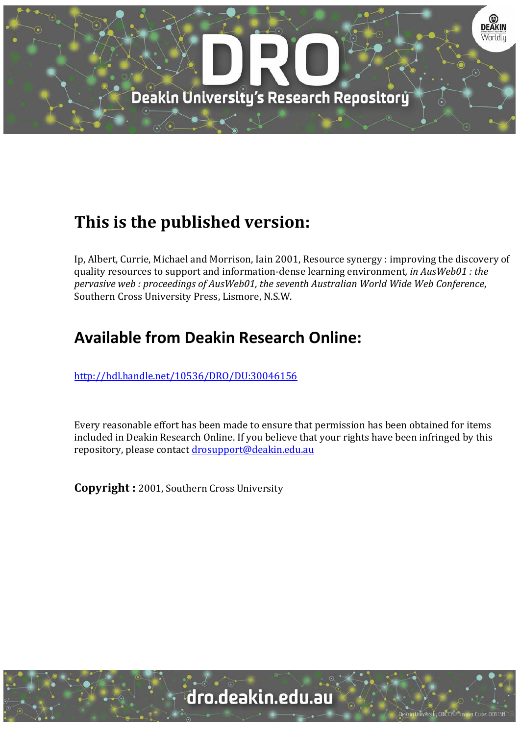

# **This is the published version:**

Ip, Albert, Currie, Michael and Morrison, Iain 2001, Resource synergy : improving the discovery of quality resources to support and information‐dense learning environment*, in AusWeb01 : the pervasive web : proceedings of AusWeb01, the seventh Australian World Wide Web Conference*, Southern Cross University Press, Lismore, N.S.W.

## **Available from Deakin Research Online:**

http://hdl.handle.net/10536/DRO/DU:30046156

Every reasonable effort has been made to ensure that permission has been obtained for items included in Deakin Research Online. If you believe that your rights have been infringed by this repository, please contact drosupport@deakin.edu.au

**Copyright** : 2001, Southern Cross University

**Jniversity CRICOS Provider Code: 00113E**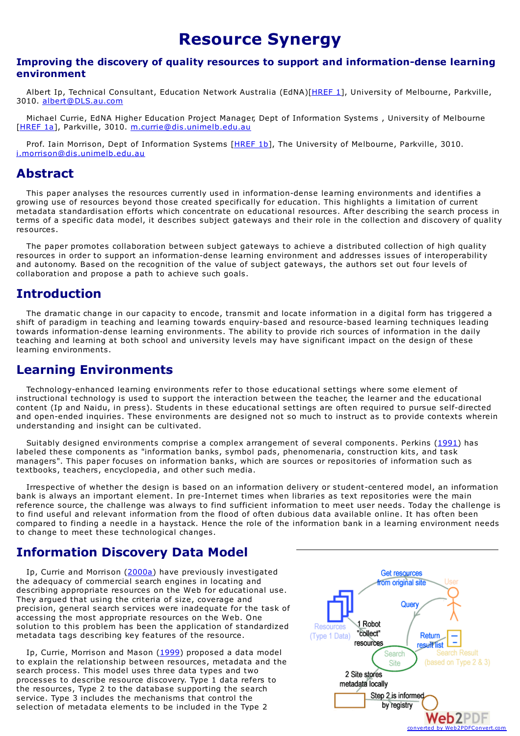## **Resource Synergy**

#### **Improving the discovery of quality resources to support and information-dense learning environment**

Albert Ip, Technical Consultant, Education Network Australia (EdNA)[\[HREF](#page-5-0) 1], University of Melbourne, Parkville, 3010. [albert@DLS.au.com](mailto:albert@DLS.au.com)

Michael Currie, EdNA Higher Education Project Manager, Dept of Information Systems , University of Melbourne [\[HREF](#page-5-0) 1a], Parkville, 3010. [m.currie@dis.unimelb.edu.au](mailto:m.currie@dis.unimelb.edu.au)

Prof. Iain Morrison, Dept of Information Systems [[HREF](#page-5-1) 1b], The University of Melbourne, Parkville, 3010. [i.morrison@dis.unimelb.edu.au](mailto:i.morrison@dis.unimelb.edu.au)

### **Abstract**

This paper analyses the resources currently used in information-dense learning environments and identifies a growing use of resources beyond those created specifically for education. This highlights a limitation of current metadata standardisation efforts which concentrate on educational resources. After describing the search process in terms of a specific data model, it describes subject gateways and their role in the collection and discovery of quality resources.

The paper promotes collaboration between subject gateways to achieve a distributed collection of high quality resources in order to support an information-dense learning environment and addresses issues of interoperability and autonomy. Based on the recognition of the value of subject gateways, the authors set out four levels of collaboration and propose a path to achieve such goals.

### **Introduction**

The dramatic change in our capacity to encode, transmit and locate information in a digital form has triggered a shift of paradigm in teaching and learning towards enquiry-based and resource-based learning techniques leading towards information-dense learning environments. The ability to provide rich sources of information in the daily teaching and learning at both school and university levels may have significant impact on the design of these learning environments.

### **Learning Environments**

Technology-enhanced learning environments refer to those educational settings where some element of instructional technology is used to support the interaction between the teacher, the learner and the educational content (Ip and Naidu, in press). Students in these educational settings are often required to pursue self-directed and open-ended inquiries. These environments are designed not so much to instruct as to provide contexts wherein understanding and insight can be cultivated.

Suitably designed environments comprise a complex arrangement of several components. Perkins [\(1991](#page-5-2)) has labeled these components as "information banks, symbol pads, phenomenaria, construction kits, and task managers". This paper focuses on information banks, which are sources or repositories of information such as textbooks, teachers, encyclopedia, and other such media.

Irrespective of whether the design is based on an information delivery or student-centered model, an information bank is always an important element. In pre-Internet times when libraries as text repositories were the main reference source, the challenge was always to find sufficient information to meet user needs. Today the challenge is to find useful and relevant information from the flood of often dubious data available online. It has often been compared to finding a needle in a haystack. Hence the role of the information bank in a learning environment needs to change to meet these technological changes.

## **Information Discovery Data Model**

Ip, Currie and Morrison ([2000a](#page-5-3)) have previously investigated the adequacy of commercial search engines in locating and describing appropriate resources on the Web for educational use. They argued that using the criteria of size, coverage and precision, general search services were inadequate for the task of accessing the most appropriate resources on the Web. One solution to this problem has been the application of standardized metadata tags describing key features of the resource.

Ip, Currie, Morrison and Mason ([1999](#page-5-4)) proposed a data model to explain the relationship between resources, metadata and the search process. This model uses three data types and two processes to describe resource discovery. Type 1 data refers to the resources, Type 2 to the database supporting the search service. Type 3 includes the mechanisms that control the selection of metadata elements to be included in the Type 2

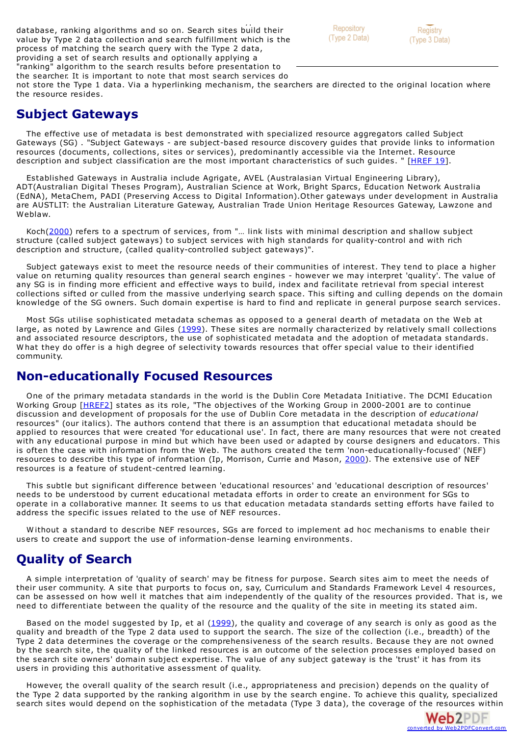setelection of metadata elements to be included in the Type 2 included in the Type 2 in the Type 2 in the Type 2 included in the Type 2 included in the Type 2 included in the Type 2 included in the Type 2 included in the database, ranking algorithms and so on. Search sites build their value by Type 2 data collection and search fulfillment which is the process of matching the search query with the Type 2 data, providing a set of search results and optionally applying a "ranking" algorithm to the search results before presentation to the searcher. It is important to note that most search services do



not store the Type 1 data. Via a hyperlinking mechanism, the searchers are directed to the original location where the resource resides.

### **Subject Gateways**

The effective use of metadata is best demonstrated with specialized resource aggregators called Subject Gateways (SG) . "Subject Gateways - are subject-based resource discovery guides that provide links to information resources (documents, collections, sites or services), predominantly accessible via the Internet. Resource description and subject classification are the most important characteristics of such guides. " [\[HREF](#page-6-0) 19].

Established Gateways in Australia include Agrigate, AVEL (Australasian Virtual Engineering Library), ADT(Australian Digital Theses Program), Australian Science at Work, Bright Sparcs, Education Network Australia (EdNA), MetaChem, PADI (Preserving Access to Digital Information).Other gateways under development in Australia are AUSTLIT: the Australian Literature Gateway, Australian Trade Union Heritage Resources Gateway, Lawzone and Weblaw.

Koch[\(2000](#page-5-5)) refers to a spectrum of services, from "... link lists with minimal description and shallow subject structure (called subject gateways) to subject services with high standards for quality-control and with rich description and structure, (called quality-controlled subject gateways)".

Subject gateways exist to meet the resource needs of their communities of interest. They tend to place a higher value on returning quality resources than general search engines - however we may interpret 'quality'. The value of any SG is in finding more efficient and effective ways to build, index and facilitate retrieval from special interest collections sifted or culled from the massive underlying search space. This sifting and culling depends on the domain knowledge of the SG owners. Such domain expertise is hard to find and replicate in general purpose search services.

Most SGs utilise sophisticated metadata schemas as opposed to a general dearth of metadata on the Web at large, as noted by Lawrence and Giles [\(1999](#page-5-6)). These sites are normally characterized by relatively small collections and associated resource descriptors, the use of sophisticated metadata and the adoption of metadata standards.<br>What they do offer is a high degree of selectivity towards resources that offer special value to their identifi community.

### **Non-educationally Focused Resources**

One of the primary metadata standards in the world is the Dublin Core Metadata Initiative. The DCMI Education Working Group [\[HREF2](#page-5-0)] states as its role, "The objectives of the Working Group in 2000-2001 are to continue discussion and development of proposals for the use of Dublin Core metadata in the description of *educational* resources" (our italics). The authors contend that there is an assumption that educational metadata should be applied to resources that were created 'for educational use'. In fact, there are many resources that were not created with any educational purpose in mind but which have been used or adapted by course designers and educators. This is often the case with information from the Web. The authors created the term 'non-educationally-focused' (NEF) resources to describe this type of information (Ip, Morrison, Currie and Mason, [2000](#page-5-7)). The extensive use of NEF resources is a feature of student-centred learning.

This subtle but significant difference between 'educational resources' and 'educational description of resources' needs to be understood by current educational metadata efforts in order to create an environment for SGs to operate in a collaborative manner. It seems to us that education metadata standards setting efforts have failed to address the specific issues related to the use of NEF resources.

W ithout a standard to describe NEF resources, SGs are forced to implement ad hoc mechanisms to enable their users to create and support the use of information-dense learning environments.

### **Quality of Search**

A simple interpretation of 'quality of search' may be fitness for purpose. Search sites aim to meet the needs of their user community. A site that purports to focus on, say, Curriculum and Standards Framework Level 4 resources, can be assessed on how well it matches that aim independently of the quality of the resources provided. That is, we need to differentiate between the quality of the resource and the quality of the site in meeting its stated aim.

Based on the model suggested by Ip, et al [\(1999](#page-5-4)), the quality and coverage of any search is only as good as the quality and breadth of the Type 2 data used to support the search. The size of the collection (i.e., breadth) of the Type 2 data determines the coverage or the comprehensiveness of the search results. Because they are not owned by the search site, the quality of the linked resources is an outcome of the selection processes employed based on the search site owners' domain subject expertise. The value of any subject gateway is the 'trust' it has from its users in providing this authoritative assessment of quality.

However, the overall quality of the search result (i.e., appropriateness and precision) depends on the quality of the Type 2 data supported by the ranking algorithm in use by the search engine. To achieve this quality, specialized search sites would depend on the sophistication of the metadata (Type 3 data), the coverage of the resources within

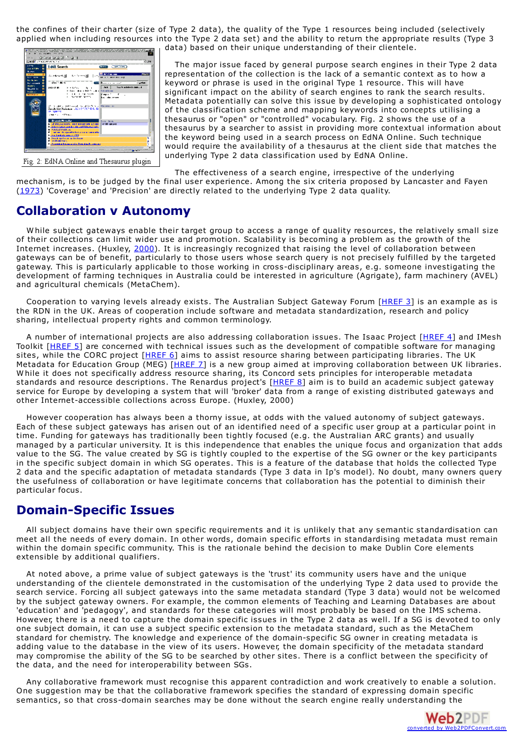the confines of their charter (size of Type 2 data), the quality of the Type 1 resources being included (selectively applied when including resources into the Type 2 data set) and the ability to return the appropriate results (Type 3

| <b>EdMA</b> Search                                                     | <b>Branch</b><br><b>Constitution</b>                               |
|------------------------------------------------------------------------|--------------------------------------------------------------------|
| E<br>۰                                                                 |                                                                    |
|                                                                        | <b>PRIMER</b><br>A Reveal Distance III Jun <mark>Washington</mark> |
| ō<br><b>AN FRAME</b>                                                   |                                                                    |
| ۰<br>$-$ and $-$ 40 $-$<br><b>Shakers</b><br>٠<br><b>Kennedy Links</b> | $-$ where $-$                                                      |
| ۰<br>and or m<br>トールイル・コード<br>n                                        | <b>County of the Contemporal Products</b><br>$3 - 1$<br>н.         |
| <b>Report For</b><br>Forders's<br>٠                                    |                                                                    |
| <b>NOTES STATE</b><br>w                                                | Komunikas (                                                        |
|                                                                        | the Kanton March<br>ka aka seme                                    |
|                                                                        |                                                                    |
| Sandy List Nussales 182-17 FCP D.L. 18                                 | (b) is come a state could be at the Nova a Horsemann               |
| <b>IN STREET</b>                                                       |                                                                    |
| come of a service of the main                                          |                                                                    |
| <b>Branch Regular</b>                                                  | <b>Brown Barnet</b>                                                |
| <b>L. J. P. B. J. ANDERS HELP AND A CONTRACT OF A SALE</b>             | <b>RUBB MODEL</b>                                                  |
| a familiar construction of his control.<br><b>MANUFACTURE</b>          |                                                                    |
| En la servició de la contexta el contexto de la contexta de            |                                                                    |
| <b>Professional Contract (ST)</b>                                      |                                                                    |
| <b>Collection Contractor Collection</b><br><b>Contractor</b>           |                                                                    |

Fig. 2: EdNA Online and Thesaurus plugin

data) based on their unique understanding of their clientele.

The major issue faced by general purpose search engines in their Type 2 data representation of the collection is the lack of a semantic context as to how a keyword or phrase is used in the original Type 1 resource. This will have significant impact on the ability of search engines to rank the search results. Metadata potentially can solve this issue by developing a sophisticated ontology of the classification scheme and mapping keywords into concepts utilising a thesaurus or "open" or "controlled" vocabulary. Fig. 2 shows the use of a thesaurus by a searcher to assist in providing more contextual information about the keyword being used in a search process on EdNA Online. Such technique would require the availability of a thesaurus at the client side that matches the underlying Type 2 data classification used by EdNA Online.

The effectiveness of a search engine, irrespective of the underlying mechanism, is to be judged by the final user experience. Among the six criteria proposed by Lancaster and Fayen [\(1973](#page-5-8)) 'Coverage' and 'Precision' are directly related to the underlying Type 2 data quality.

### **Collaboration v Autonomy**

W hile subject gateways enable their target group to access a range of quality resources, the relatively small size of their collections can limit wider use and promotion. Scalability is becoming a problem as the growth of the Internet increases. (Huxley, [2000](#page-5-9)). It is increasingly recognized that raising the level of collaboration between gateways can be of benefit, particularly to those users whose search query is not precisely fulfilled by the targeted gateway. This is particularly applicable to those working in cross-disciplinary areas, e.g. someone investigating the development of farming techniques in Australia could be interested in agriculture (Agrigate), farm machinery (AVEL) and agricultural chemicals (MetaChem).

Cooperation to varying levels already exists. The Australian Subject Gateway Forum [[HREF](#page-5-0) 3] is an example as is the RDN in the UK. Areas of cooperation include software and metadata standardization, research and policy sharing, intellectual property rights and common terminology.

A number of international projects are also addressing collaboration issues. The Isaac Project [[HREF](#page-5-0) 4] and IMesh Toolkit [\[HREF](#page-5-0) 5] are concerned with technical issues such as the development of compatible software for managing sites, while the CORC project [[HREF](#page-5-0) 6] aims to assist resource sharing between participating libraries. The UK Metadata for Education Group (MEG) [\[HREF](#page-5-0) 7] is a new group aimed at improving collaboration between UK libraries.<br>While it does not specifically address resource sharing, its Concord sets principles for interoperable metad standards and resource descriptions. The Renardus project's [\[HREF](#page-5-0) 8] aim is to build an academic subject gateway service for Europe by developing a system that will 'broker' data from a range of existing distributed gateways and other Internet-accessible collections across Europe. (Huxley, 2000)

However cooperation has always been a thorny issue, at odds with the valued autonomy of subject gateways. Each of these subject gateways has arisen out of an identified need of a specific user group at a particular point in time. Funding for gateways has traditionally been tightly focused (e.g. the Australian ARC grants) and usually managed by a particular university. It is this independence that enables the unique focus and organization that adds value to the SG. The value created by SG is tightly coupled to the expertise of the SG owner or the key participants in the specific subject domain in which SG operates. This is a feature of the database that holds the collected Type 2 data and the specific adaptation of metadata standards (Type 3 data in Ip's model). No doubt, many owners query the usefulness of collaboration or have legitimate concerns that collaboration has the potential to diminish their particular focus.

### **Domain-Specific Issues**

All subject domains have their own specific requirements and it is unlikely that any semantic standardisation can meet all the needs of every domain. In other words, domain specific efforts in standardising metadata must remain within the domain specific community. This is the rationale behind the decision to make Dublin Core elements extensible by additional qualifiers.

At noted above, a prime value of subject gateways is the 'trust' its community users have and the unique understanding of the clientele demonstrated in the customisation of the underlying Type 2 data used to provide the search service. Forcing all subject gateways into the same metadata standard (Type 3 data) would not be welcomed by the subject gateway owners. For example, the common elements of Teaching and Learning Databases are about 'education' and 'pedagogy', and standards for these categories will most probably be based on the IMS schema. However, there is a need to capture the domain specific issues in the Type 2 data as well. If a SG is devoted to only one subject domain, it can use a subject specific extension to the metadata standard, such as the MetaChem standard for chemistry. The knowledge and experience of the domain-specific SG owner in creating metadata is adding value to the database in the view of its users. However, the domain specificity of the metadata standard may compromise the ability of the SG to be searched by other sites. There is a conflict between the specificity of the data, and the need for interoperability between SGs.

Any collaborative framework must recognise this apparent contradiction and work creatively to enable a solution. One suggestion may be that the collaborative framework specifies the standard of expressing domain specific semantics, so that cross-domain searches may be done without the search engine really understanding the

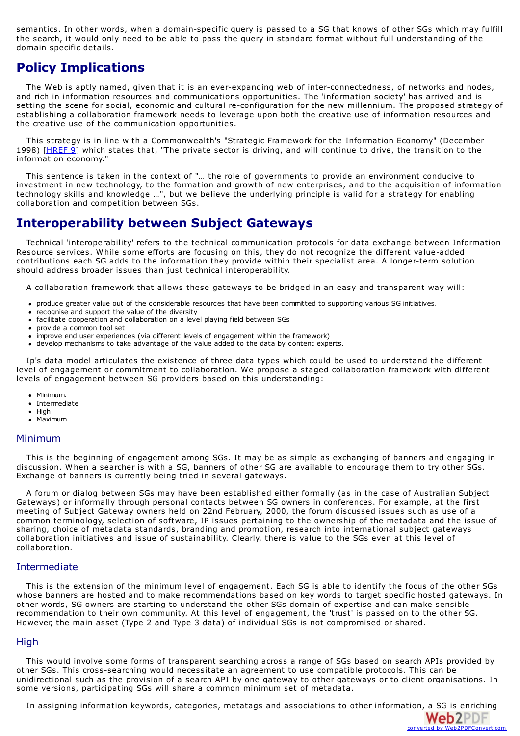semantics. In other words, when a domain-specific query is passed to a SG that knows of other SGs which may fulfill the search, it would only need to be able to pass the query in standard format without full understanding of the domain specific details.

### **Policy Implications**

The Web is aptly named, given that it is an ever-expanding web of inter-connectedness, of networks and nodes, and rich in information resources and communications opportunities. The 'information society' has arrived and is setting the scene for social, economic and cultural re-configuration for the new millennium. The proposed strategy of establishing a collaboration framework needs to leverage upon both the creative use of information resources and the creative use of the communication opportunities.

This strategy is in line with a Commonwealth's "Strategic Framework for the Information Economy" (December 1998) [\[HREF](#page-5-0) 9] which states that, "The private sector is driving, and will continue to drive, the transition to the information economy."

This sentence is taken in the context of "… the role of governments to provide an environment conducive to investment in new technology, to the formation and growth of new enterprises, and to the acquisition of information technology skills and knowledge …", but we believe the underlying principle is valid for a strategy for enabling collaboration and competition between SGs.

### **Interoperability between Subject Gateways**

Technical 'interoperability' refers to the technical communication protocols for data exchange between Information Resource services. W hile some efforts are focusing on this, they do not recognize the different value-added contributions each SG adds to the information they provide within their specialist area. A longer-term solution should address broader issues than just technical interoperability.

A collaboration framework that allows these gateways to be bridged in an easy and transparent way will:

- produce greater value out of the considerable resources that have been committed to supporting various SG initiatives.
- recognise and support the value of the diversity
- facilitate cooperation and collaboration on a level playing field between SGs
- provide a common tool set
- improve end user experiences (via different levels of engagement within the framework)
- develop mechanisms to take advantage of the value added to the data by content experts.

Ip's data model articulates the existence of three data types which could be used to understand the different level of engagement or commitment to collaboration. We propose a staged collaboration framework with different levels of engagement between SG providers based on this understanding:

- Minimum.
- Intermediate
- $\bullet$  High
- Maximum

#### Minimum

This is the beginning of engagement among SGs. It may be as simple as exchanging of banners and engaging in discussion. W hen a searcher is with a SG, banners of other SG are available to encourage them to try other SGs. Exchange of banners is currently being tried in several gateways.

A forum or dialog between SGs may have been established either formally (as in the case of Australian Subject Gateways) or informally through personal contacts between SG owners in conferences. For example, at the first meeting of Subject Gateway owners held on 22nd February, 2000, the forum discussed issues such as use of a common terminology, selection of software, IP issues pertaining to the ownership of the metadata and the issue of sharing, choice of metadata standards, branding and promotion, research into international subject gateways collaboration initiatives and issue of sustainability. Clearly, there is value to the SGs even at this level of collaboration.

#### Intermediate

This is the extension of the minimum level of engagement. Each SG is able to identify the focus of the other SGs whose banners are hosted and to make recommendations based on key words to target specific hosted gateways. In other words, SG owners are starting to understand the other SGs domain of expertise and can make sensible recommendation to their own community. At this level of engagement, the 'trust' is passed on to the other SG. However, the main asset (Type 2 and Type 3 data) of individual SGs is not compromised or shared.

#### High

This would involve some forms of transparent searching across a range of SGs based on search APIs provided by other SGs. This cross-searching would necessitate an agreement to use compatible protocols. This can be unidirectional such as the provision of a search API by one gateway to other gateways or to client organisations. In some versions, participating SGs will share a common minimum set of metadata.

In assigning information keywords, categories, metatags and associations to other information, a SG is enriching

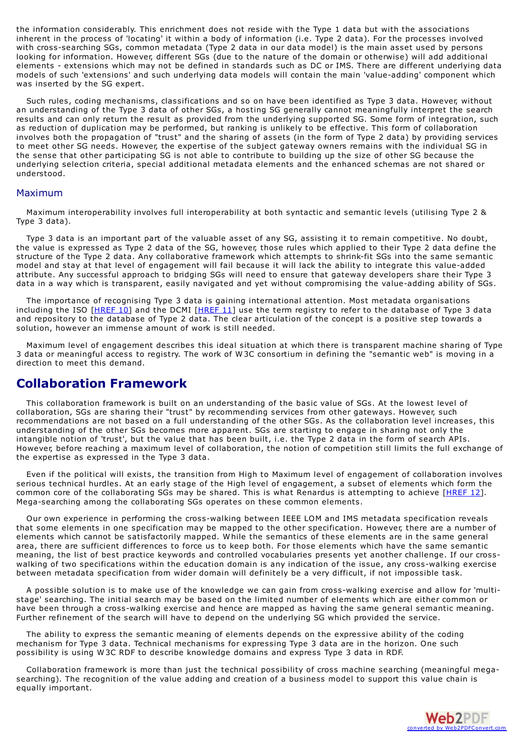the information considerably. This enrichment does not reside with the Type 1 data but with the associations inherent in the process of 'locating' it within a body of information (i.e. Type 2 data). For the processes involved with cross-searching SGs, common metadata (Type 2 data in our data model) is the main asset used by persons looking for information. However, different SGs (due to the nature of the domain or otherwise) will add additional elements - extensions which may not be defined in standards such as DC or IMS. There are different underlying data models of such 'extensions' and such underlying data models will contain the main 'value-adding' component which was inserted by the SG expert.

<span id="page-5-9"></span>Such rules, coding mechanisms, classifications and so on have been identified as Type 3 data. However, without an understanding of the Type 3 data of other SGs, a hosting SG generally cannot meaningfully interpret the search results and can only return the result as provided from the underlying supported SG. Some form of integration, such as reduction of duplication may be performed, but ranking is unlikely to be effective. This form of collaboration involves both the propagation of "trust" and the sharing of assets (in the form of Type 2 data) by providing services to meet other SG needs. However, the expertise of the subject gateway owners remains with the individual SG in the sense that other participating SG is not able to contribute to building up the size of other SG because the underlying selection criteria, special additional metadata elements and the enhanced schemas are not shared or understood.

#### <span id="page-5-4"></span>Maximum

Maximum interoperability involves full interoperability at both syntactic and semantic levels (utilising Type 2 & Type 3 data).

<span id="page-5-7"></span><span id="page-5-3"></span>Type 3 data is an important part of the valuable asset of any SG, assisting it to remain competitive. No doubt, the value is expressed as Type 2 data of the SG, however, those rules which applied to their Type 2 data define the structure of the Type 2 data. Any collaborative framework which attempts to shrink-fit SGs into the same semantic model and stay at that level of engagement will fail because it will lack the ability to integrate this value-added attribute. Any successful approach to bridging SGs will need to ensure that gateway developers share their Type 3 data in a way which is transparent, easily navigated and yet without compromising the value-adding ability of SGs.

<span id="page-5-5"></span>The importance of recognising Type 3 data is gaining international attention. Most metadata organisations including the ISO [[HREF](#page-5-0) 10] and the DCMI [HREF 11] use the term registry to refer to the database of Type 3 data and repository to the database of Type 2 data. The clear articulation of the concept is a positive step towards a solution, however an immense amount of work is still needed.

<span id="page-5-8"></span><span id="page-5-6"></span>Maximum level of engagement describes this ideal situation at which there is transparent machine sharing of Type 3 data or meaningful access to registry. The work of W 3C consortium in defining the "semantic web" is moving in a direction to meet this demand.

### **Collaboration Framework**

<span id="page-5-2"></span>This collaboration framework is built on an understanding of the basic value of SGs. At the lowest level of collaboration, SGs are sharing their "trust" by recommending services from other gateways. However, such recommendations are not based on a full understanding of the other SGs. As the collaboration level increases, this understanding of the other SGs becomes more apparent. SGs are starting to engage in sharing not only the intangible notion of 'trust', but the value that has been built, i.e. the Type 2 data in the form of search APIs. However, before reaching a maximum level of collaboration, the notion of competition still limits the full exchange of the expertise as expressed in the Type 3 data.

<span id="page-5-0"></span>Even if the political will exists, the transition from High to Maximum level of engagement of collaboration involves serious technical hurdles. At an early stage of the High level of engagement, a subset of elements which form the common core of the collaborating SGs may be shared. This is what Renardus is attempting to achieve [\[HREF](#page-5-0) 12]. Mega-searching among the collaborating SGs operates on these common elements.

<span id="page-5-1"></span>Our own experience in performing the cross-walking between IEEE LOM and IMS metadata specification reveals that some elements in one specification may be mapped to the other specification. However, there are a number of elements which cannot be satisfactorily mapped. W hile the semantics of these elements are in the same general area, there are sufficient differences to force us to keep both. For those elements which have the same semantic meaning, the list of best practice keywords and controlled vocabularies presents yet another challenge. If our crosswalking of two specifications within the education domain is any indication of the issue, any cross-walking exercise between metadata specification from wider domain will definitely be a very difficult, if not impossible task.

A possible solution is to make use of the knowledge we can gain from cross-walking exercise and allow for 'multistage' searching. The initial search may be based on the limited number of elements which are either common or have been through a cross-walking exercise and hence are mapped as having the same general semantic meaning. Further refinement of the search will have to depend on the underlying SG which provided the service.

The ability to express the semantic meaning of elements depends on the expressive ability of the coding mechanism for Type 3 data. Technical mechanisms for expressing Type 3 data are in the horizon. One such possibility is using W 3C RDF to describe knowledge domains and express Type 3 data in RDF.

Collaboration framework is more than just the technical possibility of cross machine searching (meaningful megasearching). The recognition of the value adding and creation of a business model to support this value chain is equally important.

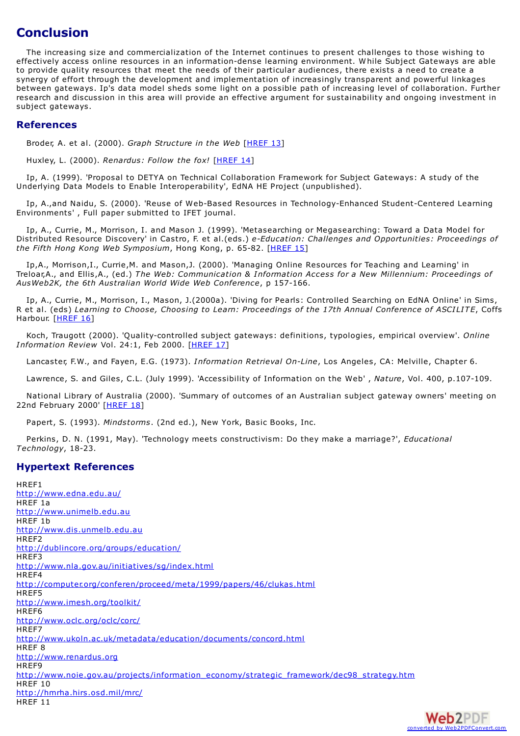### **Conclusion**

The increasing size and commercialization of the Internet continues to present challenges to those wishing to effectively access online resources in an information-dense learning environment. W hile Subject Gateways are able to provide quality resources that meet the needs of their particular audiences, there exists a need to create a synergy of effort through the development and implementation of increasingly transparent and powerful linkages between gateways. Ip's data model sheds some light on a possible path of increasing level of collaboration. Further research and discussion in this area will provide an effective argument for sustainability and ongoing investment in subject gateways.

#### **References**

Broder, A. et al. (2000). *Graph Structure in the Web* [\[HREF](#page-5-0) 13]

<span id="page-6-0"></span>Huxley, L. (2000). *Renardus: Follow the fox!* [\[HREF](#page-5-0) 14]

Ip, A. (1999). 'Proposal to DETYA on Technical Collaboration Framework for Subject Gateways: A study of the Underlying Data Models to Enable Interoperability', EdNA HE Project (unpublished).

Ip, A.,and Naidu, S. (2000). 'Reuse of Web-Based Resources in Technology-Enhanced Student-Centered Learning Environments' , Full paper submitted to IFET journal.

Ip, A., Currie, M., Morrison, I. and Mason J. (1999). 'Metasearching or Megasearching: Toward a Data Model for Distributed Resource Discovery' in Castro, F. et al.(eds.) *e-Education: Challenges and Opportunities: Proceedings of the Fifth Hong Kong Web Symposium*, Hong Kong, p. 65-82. [\[HREF](#page-5-0) 15]

Ip,A., Morrison,I., Currie,M. and Mason,J. (2000). 'Managing Online Resources for Teaching and Learning' in Treloar,A., and Ellis,A., (ed.) *The Web: Communication & Information Access for a New Millennium: Proceedings of AusWeb2K, the 6th Australian World Wide Web Conference*, p 157-166.

Ip, A., Currie, M., Morrison, I., Mason, J.(2000a). 'Diving for Pearls: Controlled Searching on EdNA Online' in Sims, R et al. (eds) *Learning to Choose, Choosing to Learn: Proceedings of the 17th Annual Conference of ASCILITE*, Coffs Harbour. [[HREF](#page-5-0) 16]

Koch, Traugott (2000). 'Quality-controlled subject gateways: definitions, typologies, empirical overview'. *Online Information Review* Vol. 24:1, Feb 2000. [[HREF](#page-5-0) 17]

Lancaster, F.W., and Fayen, E.G. (1973). *Information Retrieval On-Line*, Los Angeles, CA: Melville, Chapter 6.

Lawrence, S. and Giles, C.L. (July 1999). 'Accessibility of Information on the Web' , *Nature*, Vol. 400, p.107-109.

National Library of Australia (2000). 'Summary of outcomes of an Australian subject gateway owners' meeting on 22nd February 2000' [\[HREF](#page-5-0) 18]

Papert, S. (1993). *Mindstorms*. (2nd ed.), New York, Basic Books, Inc.

Perkins, D. N. (1991, May). 'Technology meets constructivism: Do they make a marriage?', *Educational Technology*, 18-23.

#### **Hypertext References**

HREF1 <http://www.edna.edu.au/> HREF 1a <http://www.unimelb.edu.au> HREF 1b <http://www.dis.unmelb.edu.au> HREF2 <http://dublincore.org/groups/education/> HREF3 <http://www.nla.gov.au/initiatives/sg/index.html> HREF4 <http://computer.org/conferen/proceed/meta/1999/papers/46/clukas.html> HREF5 <http://www.imesh.org/toolkit/> HREF6 <http://www.oclc.org/oclc/corc/> HREF7 <http://www.ukoln.ac.uk/metadata/education/documents/concord.html> HREF 8 <http://www.renardus.org> HREF9 [http://www.noie.gov.au/projects/information\\_economy/strategic\\_framework/dec98\\_strategy.htm](http://www.noie.gov.au/projects/information_economy/strategic_framework/dec98_strategy.htm) HREF 10 <http://hmrha.hirs.osd.mil/mrc/> HRFF 11